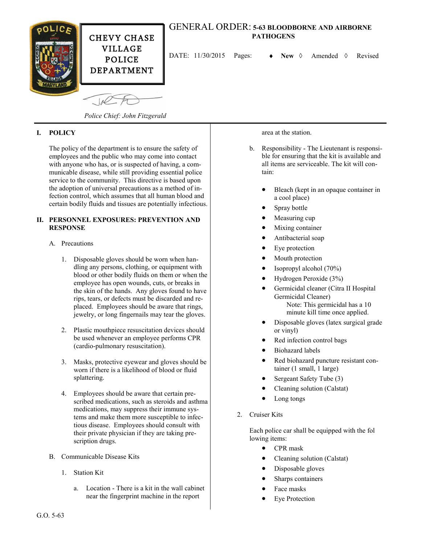

# GENERAL ORDER: **5-63 BLOODBORNE AND AIRBORNE PATHOGENS**

DATE:  $11/30/2015$  Pages:  $\rightarrow$  New  $\Diamond$  Amended  $\Diamond$  Revised

*Police Chief: John Fitzgerald*

## **I. POLICY**

The policy of the department is to ensure the safety of employees and the public who may come into contact with anyone who has, or is suspected of having, a communicable disease, while still providing essential police service to the community. This directive is based upon the adoption of universal precautions as a method of infection control, which assumes that all human blood and certain bodily fluids and tissues are potentially infectious.

#### **II. PERSONNEL EXPOSURES: PREVENTION AND RESPONSE**

#### A. Precautions

- 1. Disposable gloves should be worn when handling any persons, clothing, or equipment with blood or other bodily fluids on them or when the employee has open wounds, cuts, or breaks in the skin of the hands. Any gloves found to have rips, tears, or defects must be discarded and replaced. Employees should be aware that rings, jewelry, or long fingernails may tear the gloves.
- 2. Plastic mouthpiece resuscitation devices should be used whenever an employee performs CPR (cardio-pulmonary resuscitation).
- 3. Masks, protective eyewear and gloves should be worn if there is a likelihood of blood or fluid splattering.
- 4. Employees should be aware that certain prescribed medications, such as steroids and asthma medications, may suppress their immune systems and make them more susceptible to infectious disease. Employees should consult with their private physician if they are taking prescription drugs.
- B. Communicable Disease Kits
	- 1. Station Kit
		- a. Location There is a kit in the wall cabinet near the fingerprint machine in the report

area at the station.

- b. Responsibility The Lieutenant is responsible for ensuring that the kit is available and all items are serviceable. The kit will contain:
	- Bleach (kept in an opaque container in a cool place)
	- Spray bottle
	- Measuring cup
	- Mixing container
	- Antibacterial soap
	- Eye protection
	- Mouth protection
	- Isopropyl alcohol (70%)
	- Hydrogen Peroxide (3%)
	- Germicidal cleaner (Citra II Hospital Germicidal Cleaner) Note: This germicidal has a 10 minute kill time once applied.
	- Disposable gloves (latex surgical grade or vinyl)
	- Red infection control bags
	- Biohazard labels
	- Red biohazard puncture resistant container (1 small, 1 large)
	- Sergeant Safety Tube (3)
	- Cleaning solution (Calstat)
	- Long tongs
- 2. Cruiser Kits

Each police car shall be equipped with the fol lowing items:

- CPR mask
- Cleaning solution (Calstat)
- Disposable gloves
- Sharps containers
- Face masks
- Eye Protection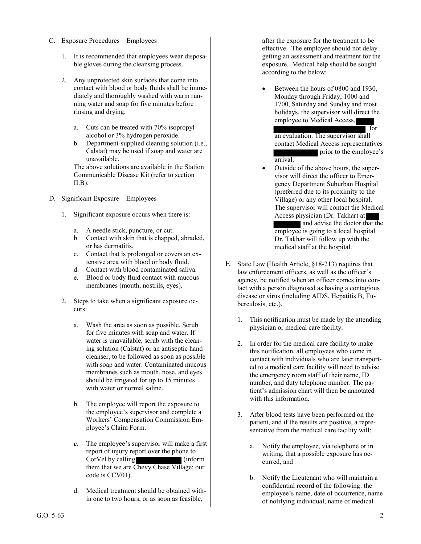- C. Exposure Procedures—Employees
	- 1. It is recommended that employees wear disposable gloves during the cleansing process.
	- 2. Any unprotected skin surfaces that come into contact with blood or body fluids shall be immediately and thoroughly washed with warm running water and soap for five minutes before rinsing and drying.
		- a. Cuts can be treated with 70% isopropyl alcohol or 3% hydrogen peroxide.
		- b. Department-supplied cleaning solution (i.e., Calstat) may be used if soap and water are unavailable.

The above solutions are available in the Station Communicable Disease Kit (refer to section  $II.B$ ).

- D. Significant Exposure—Employees
	- 1. Significant exposure occurs when there is:
		- a. A needle stick, puncture, or cut.
		- b. Contact with skin that is chapped, abraded, or has dermatitis.
		- c. Contact that is prolonged or covers an extensive area with blood or body fluid.
		- d. Contact with blood contaminated saliva.
		- e. Blood or body fluid contact with mucous membranes (mouth, nostrils, eyes).
	- 2. Steps to take when a significant exposure occurs:
		- a. Wash the area as soon as possible. Scrub for five minutes with soap and water. If water is unavailable, scrub with the cleaning solution (Calstat) or an antiseptic hand cleanser, to be followed as soon as possible with soap and water. Contaminated mucous membranes such as mouth, nose, and eyes should be irrigated for up to 15 minutes with water or normal saline.
		- b. The employee will report the exposure to the employee's supervisor and complete a Workers' Compensation Commission Employee's Claim Form.
		- *c.* The employee's supervisor will make a first report of injury report over the phone to CorVel by calling (inform them that we are Chevy Chase Village; our code is CCV01).
		- d. Medical treatment should be obtained within one to two hours, or as soon as feasible,

after the exposure for the treatment to be effective. The employee should not delay getting an assessment and treatment for the exposure. Medical help should be sought according to the below:

 Between the hours of 0800 and 1930, Monday through Friday; 1000 and 1700, Saturday and Sunday and most holidays, the supervisor will direct the employee to Medical Access,

 for an evaluation. The supervisor shall contact Medical Access representatives prior to the employee's arrival.

- Outside of the above hours, the supervisor will direct the officer to Emergency Department Suburban Hospital (preferred due to its proximity to the Village) or any other local hospital. The supervisor will contact the Medical Access physician (Dr. Takhar) at and advise the doctor that the employee is going to a local hospital. Dr. Takhar will follow up with the medical staff at the hospital.
- E. State Law (Health Article, §18-213) requires that law enforcement officers, as well as the officer's agency, be notified when an officer comes into contact with a person diagnosed as having a contagious disease or virus (including AIDS, Hepatitis B, Tuberculosis, etc.).
	- 1. This notification must be made by the attending physician or medical care facility.
	- 2. In order for the medical care facility to make this notification, all employees who come in contact with individuals who are later transported to a medical care facility will need to advise the emergency room staff of their name, ID number, and duty telephone number. The patient's admission chart will then be annotated with this information.
	- 3. After blood tests have been performed on the patient, and if the results are positive, a representative from the medical care facility will:
		- a. Notify the employee, via telephone or in writing, that a possible exposure has occurred, and
		- b. Notify the Lieutenant who will maintain a confidential record of the following: the employee's name, date of occurrence, name of notifying individual, name of medical